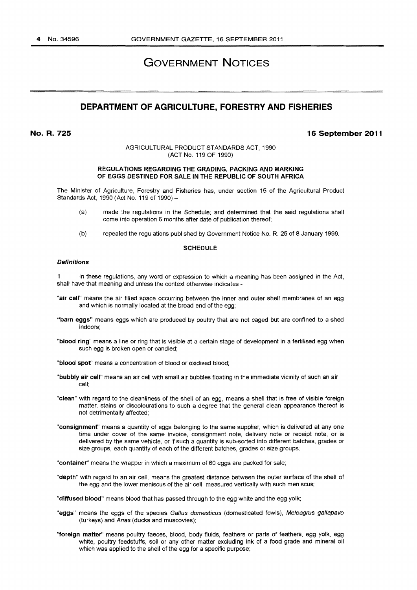# GOVERNMENT NOTICES

# **DEPARTMENT OF AGRICULTURE, FORESTRY AND FISHERIES**

**No.R.725** 

#### **16 September 2011**

AGRICULTURAL PRODUCT STANDARDS ACT, 1990 (ACT No. 119 OF 1990)

#### REGULATIONS REGARDING THE GRADING, PACKING AND MARKING OF EGGS DESTINED FOR SALE IN THE REPUBLIC OF SOUTH AFRICA

The Minister of Agriculture, Forestry and Fisheries has, under section 15 of the Agricultural Product Standards Act, 1990 (Act No. 119 of 1990)-

- (a) made the regulations in the Schedule; and determined that the said regulations shall come into operation 6 months after date of publication thereof;
- (b) repealed the regulations published by Government Notice No. R. 25 of 8 January 1999.

#### **SCHEDULE**

#### **Definitions**

1. In these regulations, any word or expression to which a meaning has been assigned in the Act, shall have that meaning and unless the context otherwise indicates -

- "air cell" means the air filled space occurring between the inner and outer shell membranes of an egg and which is normally located at the broad end of the egg;
- "barn eggs" means eggs which are produced by poultry that are not caged but are confined to a shed indoors;
- ''blood ring" means a line or ring that is visible at a certain stage of development in a fertilised egg when such egg is broken open or candled;
- "blood spof' means a concentration of blood or oxidised blood;
- "bubbly air cell" means an air cell with small air bubbles floating in the immediate vicinity of such an air cell;
- "clean" with regard to the cleanliness of the shell of an egg, means a shell that is free of visible foreign matter, stains or discolourations to such a degree that the general clean appearance thereof is not detrimentally affected;
- "consignment" means a quantity of eggs belonging to the same supplier, which is delivered at any one time under cover of the same invoice, consignment note, delivery note or receipt note, or is delivered by the same vehicle, or if such a quantity is sub-sorted into different batches, grades or size groups, each quantity of each of the different batches, grades or size groups;

"container" means the wrapper in which a maximum of 60 eggs are packed for sale;

- "depth" with regard to an air cell, means the greatest distance between the outer surface of the shell of the egg and the lower meniscus of the air cell, measured vertically with such meniscus;
- "diffused blood" means blood that has passed through to the egg white and the egg yolk;
- "eggs" means the eggs of the species Gallus domesticus (domesticated fowls), Meleagrus gallapavo (turkeys) and Anas (ducks and muscovies);
- "foreign matter" means poultry faeces, blood, body fluids, feathers or parts of feathers, egg yolk, egg white, poultry feedstuffs, soil or any other matter excluding ink of a food grade and mineral oil which was applied to the shell of the egg for a specific purpose;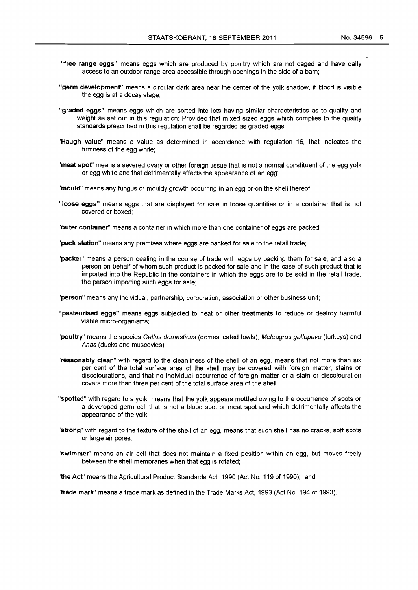- **"free range eggs"** means eggs which are produced by poultry which are not caged and have daily access to an outdoor range area accessible through openings in the side of a barn;
- **"germ developmenf'** means a circular dark area near the center of the yolk shadow, if blood is visible the egg is at a decay stage;
- **"graded eggs"** means eggs which are sorted into lots having similar characteristics as to quality and weight as set out in this regulation: Provided that mixed sized eggs which complies to the quality standards prescribed in this regulation shall be regarded as graded eggs;
- **"Haugh value"** means a value as determined in accordance with regulation 16, that indicates the firmness of the egg white;
- **"meat spof'** means a severed ovary or other foreign tissue that is not a normal constituent of the egg yolk or egg white and that detrimentally affects the appearance of an egg;
- **"mould"** means any fungus or mouldy growth occurring in an egg or on the shell thereof;
- **"loose eggs"** means eggs that are displayed for sale in loose quantities or in a container that is not covered or boxed;
- **"outer container"** means a container in which more than one container of eggs are packed;

**"pack station"** means any premises where eggs are packed for sale to the retail trade;

**"packer"** means a person dealing in the course of trade with eggs by packing them for sale, and also a person on behalf of whom such product is packed for sale and in the case of such product that is imported into the Republic in the containers in which the eggs are to be sold in the retail trade, the person importing such eggs for sale;

**"person"** means any individual, partnership, corporation, association or other business unit;

- **"pasteurised eggs"** means eggs subjected to heat or other treatments to reduce or destroy harmful viable micro-organisms;
- **"poultry"** means the species Gallus domesticus (domesticated fowls), Me/eagrus gallapavo (turkeys) and Anas (ducks and muscovies);
- **"reasonably clean"** with regard to the cleanliness of the shell of an egg, means that not more than six per cent of the total surface area of the shell may be covered with foreign matter, stains or discolourations, and that no individual occurrence of foreign matter or a stain or discolouration covers more than three per cent of the total surface area of the shell;
- **"spotted"** with regard to a yolk, means that the yolk appears mottled owing to the occurrence of spots or a developed germ cell that is not a blood spot or meat spot and which detrimentally affects the appearance of the yolk;
- **"strong"** with regard to the texture of the shell of an egg, means that such shell has no cracks, soft spots or large air pores;
- **"swimmer"** means an air cell that does not maintain a fixed position within an egg, but moves freely between the shell membranes when that egg is rotated;

**"the Acf'** means the Agricultural Product Standards Act, 1990 (Act No. 119 of 1990); and

**"trade mark''** means a trade mark as defined in the Trade Marks Act, 1993 (Act No. 194 of 1993).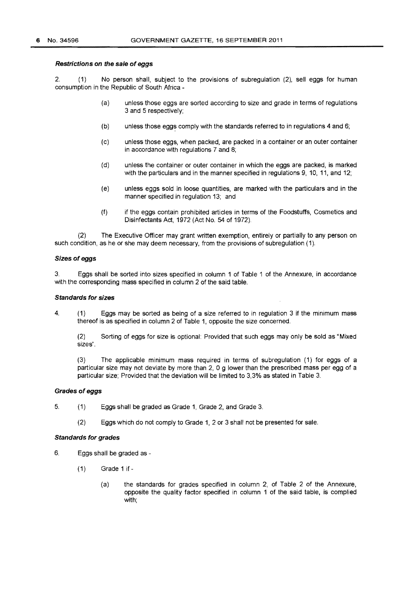#### Restrictions on the sale of eggs

2. (1) No person shall, subject to the provisions of subregulation (2), sell eggs for human consumption in the Republic of South Africa -

- (a) unless those eggs are sorted according to size and grade in terms of regulations 3 and 5 respectively;
- (b) unless those eggs comply with the standards referred to in regulations  $4$  and  $6$ ;
- (c) unless those eggs, when packed, are packed in a container or an outer container in accordance with regulations 7 and 8;
- (d) unless the container or outer container in which the eggs are packed, is marked with the particulars and in the manner specified in regulations 9, 10, 11, and 12;
- (e) unless eggs sold in loose quantities, are marked with the particulars and in the manner specified in regulation 13; and
- (f) if the eggs contain prohibited articles in terms of the Foodstuffs, Cosmetics and Disinfectants Act, 1972 (Act No. 54 of 1972).

(2) The Executive Officer may grant written exemption, entirely or partially to any person on such condition, as he or she may deem necessary, from the provisions of subregulation (1).

#### Sizes of eggs

3. Eggs shall be sorted into sizes specified in column 1 of Table 1 of the Annexure, in accordance with the corresponding mass specified in column 2 of the said table.

#### Standards for sizes

4. ( 1) Eggs may be sorted as being of a size referred to in regulation 3 if the minimum mass thereof is as specified in column 2 of Table 1, opposite the size concerned.

(2) Sorting of eggs for size is optional: Provided that such eggs may only be sold as "Mixed sizes".

(3) The applicable minimum mass required in terms of subregulation (1) for eggs of a particular size may not deviate by more than  $2$ , 0 g lower than the prescribed mass per egg of a particular size; Provided that the deviation will be limited to 3,3% as stated in Table 3.

#### Grades of eggs

- 5. (1) Eggs shall be graded as Grade 1, Grade 2, and Grade 3.
	- (2) Eggs which do not comply to Grade 1, 2 or 3 shall not be presented for sale.

#### Standards for grades

- 6. Eggs shall be graded as
	- $(1)$  Grade 1 if -
		- (a) the standards for grades specified in column 2, of Table 2 of the Annexure, opposite the quality factor specified in column 1 of the said table, is complied with;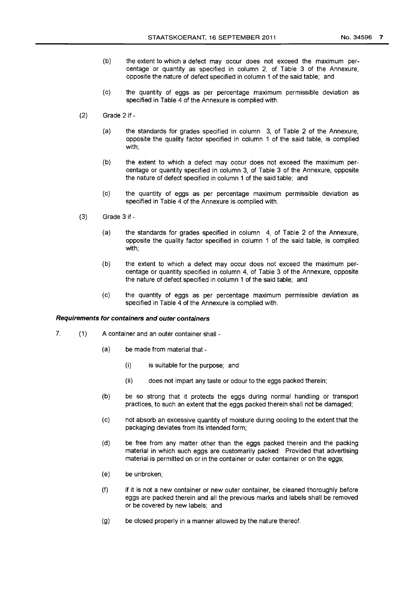- (b) the extent to which a defect may occur does not exceed the maximum percentage or quantity as specified in column 2, of Table 3 of the Annexure, opposite the nature of defect specified in column 1 of the said table; and
- (c) the quantity of eggs as per percentage maximum permissible deviation as specified in Table 4 of the Annexure is complied with.
- (2) Grade 2 if-
	- (a) the standards for grades specified in column 3, of Table 2 of the Annexure, opposite the quality factor specified in column 1 of the said table, is complied with;
	- (b) the extent to which a defect may occur does not exceed the maximum percentage or quantity specified in column 3, of Table 3 of the Annexure, opposite the nature of defect specified in column 1 of the said table; and
	- (c) the quantity of eggs as per percentage maximum permissible deviation as specified in Table 4 of the Annexure is complied with.
- (3) Grade 3 if-
	- (a) the standards for grades specified in column 4, of Table 2 of the Annexure, opposite the quality factor specified in column 1 of the said table, is complied with;
	- (b) the extent to which a defect may occur does not exceed the maximum percentage or quantity specified in column 4, of Table 3 of the Annexure, opposite the nature of defect specified in column 1 of the said table; and
	- (c) the quantity of eggs as per percentage maximum permissible deviation as specified in Table 4 of the Annexure is complied with.

#### **Requirements for containers and outer containers**

- 7. (1) A container and an outer container shall -
	- (a) be made from material that-
		- (i) is suitable for the purpose; and
		- (ii) does not impart any taste or odour to the eggs packed therein;
	- (b) be so strong that it protects the eggs during normal handling or transport practices, to such an extent that the eggs packed therein shall not be damaged;
	- (c) not absorb an excessive quantity of moisture during cooling to the extent that the packaging deviates from its intended form;
	- (d) be free from any matter other than the eggs packed therein and the packing material in which such eggs are customarily packed: Provided that advertising material is permitted on or in the container or outer container or on the eggs;
	- (e) be unbroken;
	- (f) if it is not a new container or new outer container, be cleaned thoroughly before eggs are packed therein and all the previous marks and labels shall be removed or be covered by new labels; and
	- (g) be closed properly in a manner allowed by the nature thereof.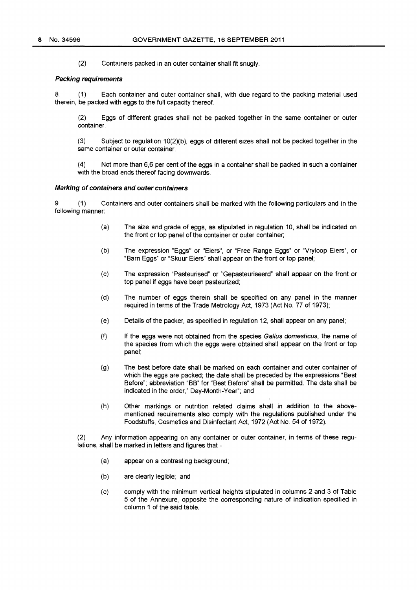(2) Containers packed in an outer container shall fit snugly.

#### **Packing requirements**

8. **(1)** Each container and outer container shall, with due regard to the packing material used therein, be packed with eggs to the full capacity thereof.

(2) Eggs of different grades shall not be packed together in the same container or outer container.

(3) Subject to regulation 10(2)(b), eggs of different sizes shall not be packed together in the same container or outer container.

(4) Not more than 6,6 per cent of the eggs in a container shall be packed in such a container with the broad ends thereof facing downwards.

#### **Marking of containers and outer containers**

9. **(1)** Containers and outer containers shall be marked with the following particulars and in the following manner:

- (a) The size and grade of eggs, as stipulated in regulation 10, shall be indicated on the front or top panel of the container or outer container;
- (b) The expression "Eggs" or "Eiers", or "Free Range Eggs" or "Vryloop Eiers", or "Barn Eggs• or "Skuur Eiers" shall appear on the front or top panel;
- (c) The expression "Pasteurised" or "Gepasteuriseerd" shall appear on the front or top panel if eggs have been pasteurized;
- (d) The number of eggs therein shall be specified on any panel in the manner required in terms of the Trade Metrology Act, 1973 (Act No. 77 of 1973);
- (e) Details of the packer, as specified in regulation 12, shall appear on any panel;
- (f) If the eggs were not obtained from the species Gal/us domesticus, the name of the species from which the eggs were obtained shall appear on the front or top panel;
- (g) The best before date shall be marked on each container and outer container of which the eggs are packed; the date shall be preceded by the expressions "Best Before"; abbreviation "BB" for "Best Before" shall be permitted. The date shall be indicated in the order," Day-Month-Year"; and
- (h) Other markings or nutrition related claims shall in addition to the abovementioned requirements also comply with the regulations published under the Foodstuffs, Cosmetics and Disinfectant Act, 1972 (Act No. 54 of 1972).

(2) Any information appearing on any container or outer container, in terms of these regulations, shall be marked in letters and figures that -

- (a) appear on a contrasting background;
- (b) are clearly legible; and
- (c) comply with the minimum vertical heights stipulated in columns 2 and 3 of Table 5 of the Annexure, opposite the corresponding nature of indication specified in column 1 of the said table.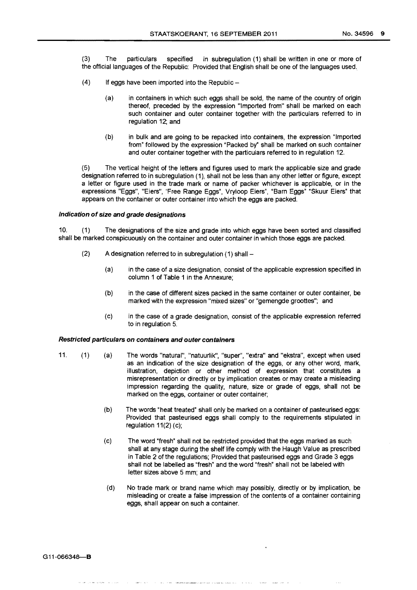(3) The particulars specified in subregulation (1) shall be written in one or more of the official languages of the Republic: Provided that English shall be one of the languages used.

- (4) If eggs have been imported into the Republic-
	- (a) in containers in which such eggs shall be sold, the name of the country of origin thereof, preceded by the expression "Imported from" shall be marked on each such container and outer container together with the particulars referred to in regulation 12; and
	- (b) in bulk and are going to be repacked into containers, the expression "Imported from" followed by the expression "Packed by" shall be marked on such container and outer container together with the particulars referred to in regulation 12.

(5) The vertical height of the letters and figures used to mark the applicable size and grade designation referred to in subregulation (1), shall not be less than any other letter or figure, except a letter or figure used in the trade mark or name of packer whichever is applicable, or in the expressions "Eggs", "Eiers", 'Free Range Eggs", Vryloop Eiers", "Barn Eggs" "Skuur Eiers" that appears on the container or outer container into which the eggs are packed.

#### Indication of size and grade designations

10. (1) The designations of the size and grade into which eggs have been sorted and classified shall be marked conspicuously on the container and outer container in which those eggs are packed.

- $(2)$  A designation referred to in subregulation  $(1)$  shall -
	- {a) in the case of a size designation, consist of the applicable expression specified in column 1 of Table 1 in the Annexure;
	- (b) in the case of different sizes packed in the same container or outer container, be marked with the expression "mixed sizes" or "gemengde groottes"; and
	- (c) in the case of a grade designation, consist of the applicable expression referred to in regulation 5.

### Restricted particulars on containers and outer containers

- 11. (1) (a) The words "natural", "natuurlik", "super", "extra" and "ekstra", except when used as an indication of the size designation of the eggs, or any other word, mark, illustration, depiction or other method of expression that constitutes a misrepresentation or directly or by implication creates or may create a misleading impression regarding the quality, nature, size or grade of eggs, shall not be marked on the eggs, container or outer container;
	- (b) The words "heat treated" shall only be marked on a container of pasteurised eggs: Provided that pasteurised eggs shall comply to the requirements stipulated in regulation  $11(2)$  (c);
	- (c) The word "fresh" shall not be restricted provided that the eggs marked as such shall at any stage during the shelf life comply with the Haugh Value as prescribed in Table 2 of the regulations; Provided that pasteurised eggs and Grade 3 eggs shall not be labelled as "fresh" and the word "fresh" shall not be labeled with letter sizes above 5 mm; and
	- (d) No trade mark or brand name which may possibly, directly or by implication, be misleading or create a false impression of the contents of a container containing eggs, shall appear on such a container.

G11-066348-B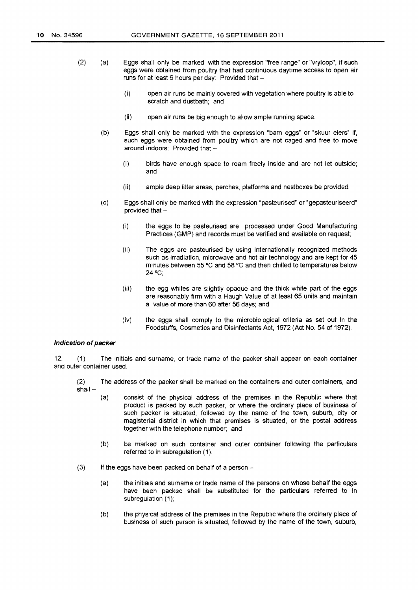- $(2)$   $(a)$ Eggs shall only be marked with the expression "free range" or "vryloop", if such eggs were obtained from poultry that had continuous daytime access to open air runs for at least 6 hours per day: Provided that -
	- (i) open air runs be mainly covered with vegetation where poultry is able to scratch and dustbath; and
	- (ii) open air runs be big enough to allow ample running space.
	- (b) Eggs shall only be marked with the expression "barn eggs" or "skuur eiers" if, such eggs were obtained from poultry which are not caged and free to move around indoors: Provided that -
		- (i) birds have enough space to roam freely inside and are not let outside; and
		- {ii) ample deep litter areas, perches, platforms and nestboxes be provided.
	- (c) Eggs shall only be marked with the expression "pasteurised" or "gepasteuriseerd" provided that -
		- (i) the eggs to be pasteurised are processed under Good Manufacturing Practices (GMP) and records must be verified and available on request;
		- (ii) The eggs are pasteurised by using internationally recognized methods such as irradiation, microwave and hot air technology and are kept for 45 minutes between 55 °C and 58 °C and then chilled to temperatures below 24°C;
		- (iii) the egg whites are slightly opaque and the thick white part of the eggs are reasonably firm with a Haugh Value of at least 65 units and maintain a value of more than 60 after 56 days; and
		- (iv) the eggs shall comply to the microbiological criteria as set out in the Foodstuffs, Cosmetics and Disinfectants Act, 1972 (Act No. 54 of 1972).

#### Indication of packer

12. (1) The initials and surname, or trade name of the packer shall appear on each container and outer container used.

(2) The address of the packer shall be marked on the containers and outer containers, and shall-

- {a) consist of the physical address of the premises in the Republic where that product is packed by such packer, or where the ordinary place of business of such packer is situated, followed by the name of the town, suburb, city or magisterial district in which that premises is situated, or the postal address together with the telephone number; and
- (b) be marked on such container and outer container following the particulars referred to in subregulation {1 ).
- $(3)$  If the eggs have been packed on behalf of a person -
	- (a) the initials and surname or trade name of the persons on whose behalf the eggs have been packed shall be substituted for the particulars referred to in subregulation (1);
	- (b) the physical address of the premises in the Republic where the ordinary place of business of such person is situated, followed by the name of the town, suburb,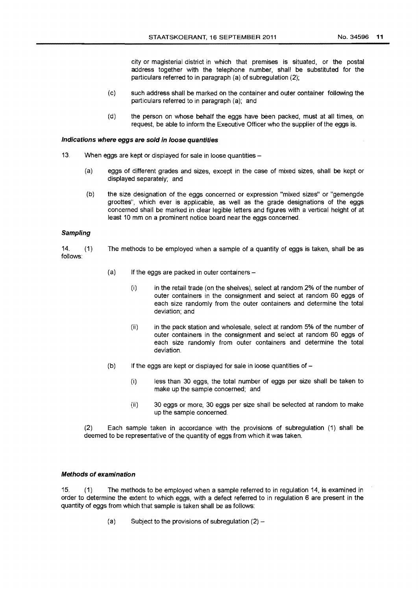city or magisterial district in which that premises is situated, or the postal address together with the telephone number, shall be substituted for the particulars referred to in paragraph (a) of subregulation (2);

- (c) such address shall be marked on the container and outer container following the particulars referred to in paragraph (a); and
- (d) the person on whose behalf the eggs have been packed, must at all times, on request, be able to inform the Executive Officer who the supplier of the eggs is.

#### Indications where eggs are sold in loose quantities

- 13. When eggs are kept or displayed for sale in loose quantities-
	- (a) eggs of different grades and sizes, except in the case of mixed sizes, shall be kept or displayed separately; and
	- (b) the size designation of the eggs concerned or expression "mixed sizes" or "gemengde groottes", which ever is applicable, as well as the grade designations of the eggs concerned shall be marked in clear legible letters and figures with a vertical height of at least 10 mm on a prominent notice board near the eggs concerned.

#### Sampling

14. (1) The methods to be employed when a sample of a quantity of eggs is taken, shall be as follows:

- $(a)$  If the eggs are packed in outer containers -
	- (i) in the retail trade (on the shelves), select at random 2% of the number of outer containers in the consignment and select at random 60 eggs of each size randomly from the outer containers and determine the total deviation; and
	- (ii) in the pack station and wholesale, select at random 5% of the number of outer containers in the consignment and select at random 60 eggs of each size randomly from outer containers and determine the total deviation.
- $(b)$  If the eggs are kept or displayed for sale in loose quantities of  $-$ 
	- (i) less than 30 eggs, the total number of eggs per size shall be taken to make up the sample concerned; and
	- (ii} 30 eggs or more, 30 eggs per size shall be selected at random to make up the sample concerned.

(2) Each sample taken in accordance with the provisions of subregulation (1) shall be deemed to be representative of the quantity of eggs from which it was taken.

#### Methods of examination

15. (1) The methods to be employed when a sample referred to in regulation 14, is examined in order to determine the extent to which eggs, with a defect referred to in regulation 6 are present in the quantity of eggs from which that sample is taken shall be as follows:

(a) Subject to the provisions of subregulation  $(2)$  –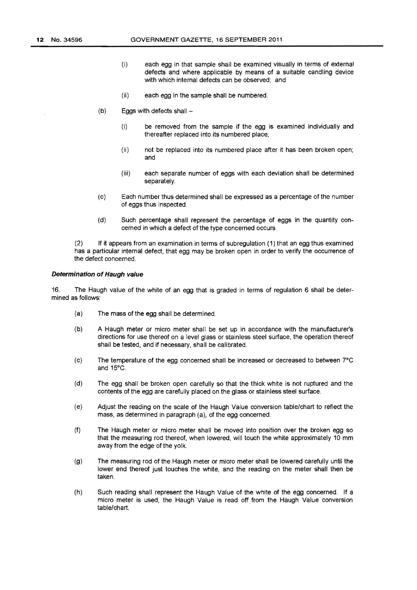- (i) each egg in that sample shall be examined visually in terms of external defects and where applicable by means of a suitable candling device with which internal defects can be observed; and
- (ii) each egg in the sample shall be numbered.
- $(b)$  Eggs with defects shall -
	- (i) be removed from the sample if the egg is examined individually and thereafter replaced into its numbered place;
	- (ii) not be replaced into its numbered place after it has been broken open; and
	- (iii) each separate number of eggs with each deviation shall be determined separately.
- (c) Each number thus determined shall be expressed as a percentage of the number of eggs thus inspected.
- (d) Such percentage shall represent the percentage of eggs in the quantity concerned in which a defect of the type concerned occurs.

(2) If it appears from an examination in terms of subregulation (1) that an egg thus examined has a particular internal defect, that egg may be broken open in order to verify the occurrence of the defect concerned.

#### **Determination of Haugh value**

16. The Haugh value of the white of an egg that is graded in terms of regulation 6 shall be determined as follows:

- (a) The mass of the egg shall be determined.
- (b) A Haugh meter or micro meter shall be set up in accordance with the manufacturer's directions for use thereof on a level glass or stainless steel surface, the operation thereof shall be tested, and if necessary, shall be calibrated.
- (c) The temperature of the egg concerned shall be increased or decreased to between 7"C and 15"C.
- (d) The egg shall be broken open carefully so that the thick white is not ruptured and the contents of the egg are carefully placed on the glass or stainless steel surface.
- (e) Adjust the reading on the scale of the Haugh Value conversion table/chart to reflect the mass, as determined in paragraph (a), of the egg concerned.
- (f) The Haugh meter or micro meter shall be moved into position over the broken egg so that the measuring rod thereof, when lowered, will touch the white approximately 10 mm away from the edge of the yolk.
- (g) The measuring rod of the Haugh meter or micro meter shall be lowered carefully until the lower end thereof just touches the white, and the reading on the meter shall then be taken.
- (h) Such reading shall represent the Haugh Value of the white of the egg concerned. If a micro meter is used, the Haugh Value is read off from the Haugh Value conversion table/chart.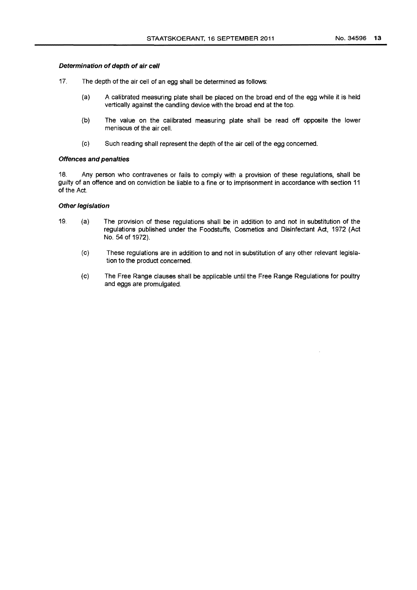#### Determination of depth of air cell

- 17. The depth of the air cell of an egg shall be determined as follows:
	- (a) A calibrated measuring plate shall be placed on the broad end of the egg while it is held vertically against the candling device with the broad end at the top.
	- (b) The value on the calibrated measuring plate shall be read off opposite the lower meniscus of the air cell.
	- (c) Such reading shall represent the depth of the air cell of the egg concerned.

#### Offences and penalties

18. Any person who contravenes or fails to comply with a provision of these regulations, shall be guilty of an offence and on conviction be liable to a fine or to imprisonment in accordance with section 11 of the Act.

### Other legislation

- 19. (a) The provision of these regulations shall be in addition to and not in substitution of the regulations published under the Foodstuffs, Cosmetics and Disinfectant Act, 1972 (Act No. 54 of 1972).
	- (c) These regulations are in addition to and not in substitution of any other relevant legislation to the product concerned.
	- (c) The Free Range clauses shall be applicable until the Free Range Regulations for poultry and eggs are promulgated.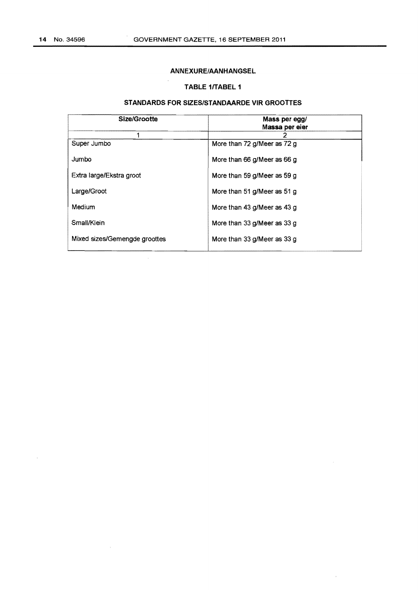$\sim$ 

 $\sim$ 

### ANNEXURE/AANHANGSEL

### TABLE 1/TABEL 1

 $\mathcal{A}^{\mathcal{A}}$ 

 $\sim$ 

# STANDARDS FOR SIZES/STANDAARDE VIR GROOTTES

| Size/Grootte                  | Mass per egg/<br>Massa per eier |
|-------------------------------|---------------------------------|
|                               |                                 |
| Super Jumbo                   | More than 72 g/Meer as 72 g     |
| Jumbo                         | More than 66 g/Meer as 66 g     |
| Extra large/Ekstra groot      | More than 59 g/Meer as 59 g     |
| Large/Groot                   | More than 51 g/Meer as 51 g     |
| Medium                        | More than 43 g/Meer as 43 g     |
| Small/Klein                   | More than 33 g/Meer as 33 g     |
| Mixed sizes/Gemengde groottes | More than 33 g/Meer as 33 g     |

 $\bar{\beta}$ 

 $\bar{\lambda}$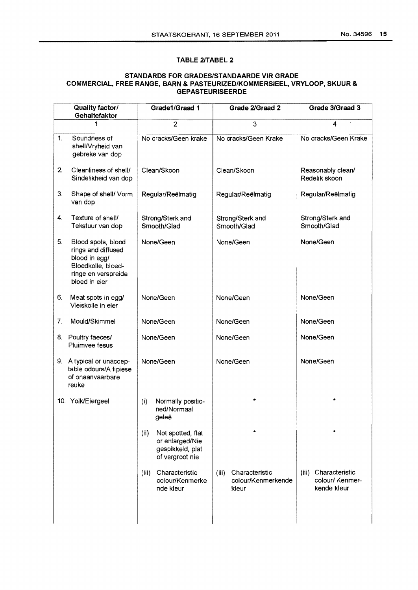# TABLE 2/TABEL 2

# STANDARDS FOR GRADES/STANDAARDE VIR GRADE COMMERCIAL, FREE RANGE, BARN & PASTEURIZED/KOMMERSIEEL, VRYLOOP, SKUUR & GEPASTEURISEERDE

|                | Quality factor/<br>Gehaltefaktor                                                                                        | Grade1/Graad 1                                                                      | Grade 2/Graad 2                                        | Grade 3/Graad 3                                           |
|----------------|-------------------------------------------------------------------------------------------------------------------------|-------------------------------------------------------------------------------------|--------------------------------------------------------|-----------------------------------------------------------|
|                | 1                                                                                                                       | $\overline{2}$                                                                      | 3                                                      | 4                                                         |
| 1.             | Soundness of<br>shell/Vryheid van<br>gebreke van dop                                                                    | No cracks/Geen krake                                                                | No cracks/Geen Krake                                   | No cracks/Geen Krake                                      |
| 2.             | Cleanliness of shell/<br>Sindelikheid van dop                                                                           | Clean/Skoon                                                                         | Clean/Skoon                                            | Reasonably clean/<br>Redelik skoon                        |
| 3.             | Shape of shell/ Vorm<br>van dop                                                                                         | Regular/Reëlmatig                                                                   | Regular/Reëlmatig                                      | Regular/Reëlmatig                                         |
| 4.             | Texture of shell/<br>Tekstuur van dop                                                                                   | Strong/Sterk and<br>Smooth/Glad                                                     | Strong/Sterk and<br>Smooth/Glad                        | Strong/Sterk and<br>Smooth/Glad                           |
| 5 <sub>1</sub> | Blood spots, blood<br>rings and diffused<br>blood in egg/<br>Bloedkolle, bloed-<br>ringe en verspreide<br>bloed in eier | None/Geen                                                                           | None/Geen                                              | None/Geen                                                 |
| 6.             | Meat spots in egg/<br>Vleiskolle in eier                                                                                | None/Geen                                                                           | None/Geen                                              | None/Geen                                                 |
| 7.             | Mould/Skimmel                                                                                                           | None/Geen                                                                           | None/Geen                                              | None/Geen                                                 |
| 8.             | Poultry faeces/<br>Pluimvee fesus                                                                                       | None/Geen                                                                           | None/Geen                                              | None/Geen                                                 |
|                | 9. A typical or unaccep-<br>table odours/A tipiese<br>of onaanvaarbare<br>reuke                                         | None/Geen                                                                           | None/Geen                                              | None/Geen                                                 |
|                | 10. Yolk/Eiergeel                                                                                                       | Normally positio-<br>(i)<br>ned/Normaal<br>geleë                                    |                                                        |                                                           |
|                |                                                                                                                         | (ii)<br>Not spotted, flat<br>or enlarged/Nie<br>gespikkeld, plat<br>of vergroot nie |                                                        |                                                           |
|                |                                                                                                                         | Characteristic<br>(iii)<br>colour/Kenmerke<br>nde kleur                             | Characteristic<br>(iii)<br>colour/Kenmerkende<br>kleur | Characteristic<br>(iii)<br>colour/ Kenmer-<br>kende kleur |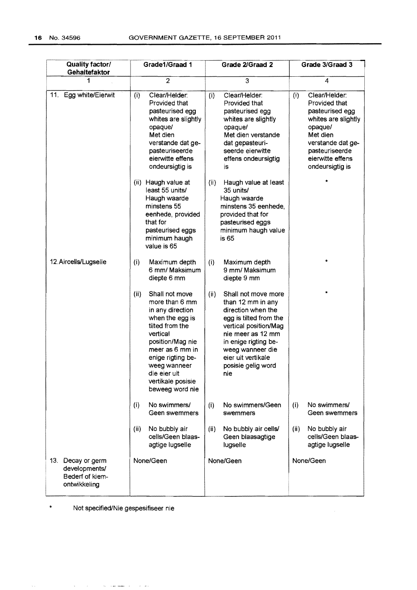| Quality factor/<br>Gehaltefaktor                                      | Grade1/Graad 1<br>Grade 2/Graad 2                                                                                                                                                                                                                  |                                                                                                                                                                                                                                               | Grade 3/Graad 3                                                                                                                                                                      |  |
|-----------------------------------------------------------------------|----------------------------------------------------------------------------------------------------------------------------------------------------------------------------------------------------------------------------------------------------|-----------------------------------------------------------------------------------------------------------------------------------------------------------------------------------------------------------------------------------------------|--------------------------------------------------------------------------------------------------------------------------------------------------------------------------------------|--|
|                                                                       | $\overline{2}$                                                                                                                                                                                                                                     | 3                                                                                                                                                                                                                                             | 4                                                                                                                                                                                    |  |
| 11. Egg white/Eierwit                                                 | Clear/Helder:<br>(i)<br>Provided that<br>pasteurised egg<br>whites are slightly<br>opaque/<br>Met dien<br>verstande dat ge-<br>pasteuriseerde<br>eierwitte effens<br>ondeursigtig is                                                               | Clear/Helder:<br>(i)<br>Provided that<br>pasteurised egg<br>whites are slightly<br>opaque/<br>Met dien verstande<br>dat gepasteuri-<br>seerde eierwitte<br>effens ondeursigtig<br>İS.                                                         | Clear/Helder:<br>(i)<br>Provided that<br>pasteurised egg<br>whites are slightly<br>opaque/<br>Met dien<br>verstande dat ge-<br>pasteuriseerde<br>eierwitte effens<br>ondeursigtig is |  |
|                                                                       | (ii) Haugh value at<br>least 55 units/<br>Haugh waarde<br>minstens 55<br>eenhede, provided<br>that for<br>pasteurised eggs<br>minimum haugh<br>value is 65                                                                                         | (ii)<br>Haugh value at least<br>35 units/<br>Haugh waarde<br>minstens 35 eenhede,<br>provided that for<br>pasteurised eggs<br>minimum haugh value<br>is <sub>65</sub>                                                                         |                                                                                                                                                                                      |  |
| 12. Aircells/Lugselle                                                 | (i)<br>Maximum depth<br>6 mm/ Maksimum<br>diepte 6 mm                                                                                                                                                                                              | (i)<br>Maximum depth<br>9 mm/ Maksimum<br>diepte 9 mm                                                                                                                                                                                         | ÷                                                                                                                                                                                    |  |
|                                                                       | (ii)<br>Shall not move<br>more than 6 mm<br>in any direction<br>when the egg is<br>tilted from the<br>vertical<br>position/Mag nie<br>meer as 6 mm in<br>enige rigting be-<br>weeg wanneer<br>die eier uit<br>vertikale posisie<br>beweeg word nie | (ii)<br>Shall not move more<br>than 12 mm in any<br>direction when the<br>egg is tilted from the<br>vertical position/Mag<br>nie meer as 12 mm<br>in enige rigting be-<br>weeg wanneer die<br>eier uit vertikale<br>posisie gelig word<br>nie |                                                                                                                                                                                      |  |
|                                                                       | No swimmers/<br>(i)<br>Geen swemmers                                                                                                                                                                                                               | (i)<br>No swimmers/Geen<br>swemmers                                                                                                                                                                                                           | (i)<br>No swimmers/<br>Geen swemmers                                                                                                                                                 |  |
|                                                                       | No bubbly air<br>(ii)<br>cells/Geen blaas-<br>agtige lugselle                                                                                                                                                                                      | No bubbly air cells/<br>(ii)<br>Geen blaasagtige<br>lugselle                                                                                                                                                                                  | No bubbly air<br>(ii)<br>cells/Geen blaas-<br>agtige lugselle                                                                                                                        |  |
| 13. Decay or germ<br>developments/<br>Bederf of kiem-<br>ontwikkeling | None/Geen                                                                                                                                                                                                                                          | None/Geen                                                                                                                                                                                                                                     | None/Geen                                                                                                                                                                            |  |

 $\sim$ 

\* Not specified/Nie gespesifiseer nie

 $\mathcal{A}^{\mathcal{A}}_{\mathcal{A}}$  , where  $\mathcal{A}^{\mathcal{A}}_{\mathcal{A}}$  , where the contract contracts are  $\mathcal{A}^{\mathcal{A}}_{\mathcal{A}}$  , and  $\mathcal{A}^{\mathcal{A}}_{\mathcal{A}}$ 

 $\sim$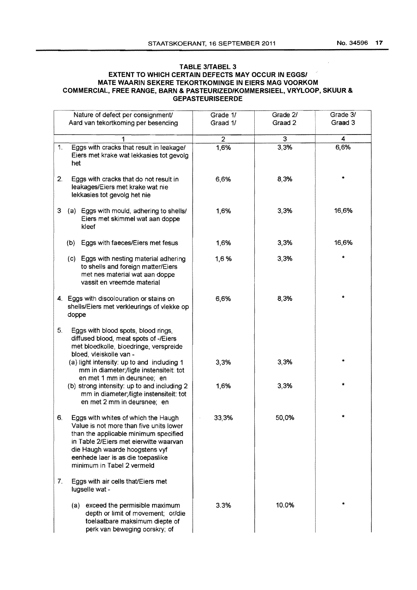# TABLE 3/TABEL 3 EXTENT TO WHICH CERTAIN DEFECTS MAY OCCUR IN EGGS/ MATE WAARIN SEKERE TEKORTKOMINGE IN EIERS MAG VOORKOM COMMERCIAL, FREE RANGE, BARN & PASTEURIZED/KOMMERSIEEL, VRYLOOP, SKUUR & GEPASTEURISEERDE

| Nature of defect per consignment/                                                                                                                                                                                                                                            | Grade 1/       | Grade 2/ | Grade 3/ |
|------------------------------------------------------------------------------------------------------------------------------------------------------------------------------------------------------------------------------------------------------------------------------|----------------|----------|----------|
| Aard van tekortkoming per besending                                                                                                                                                                                                                                          | Graad 1/       | Graad 2  | Graad 3  |
| 1                                                                                                                                                                                                                                                                            | $\overline{2}$ | 3        | 4        |
| Eggs with cracks that result in leakage/<br>1.<br>Eiers met krake wat lekkasies tot gevolg<br>het                                                                                                                                                                            | 1,6%           | 3,3%     | 6,6%     |
| 2.<br>Eggs with cracks that do not result in<br>leakages/Eiers met krake wat nie<br>lekkasies tot gevolg het nie                                                                                                                                                             | 6,6%           | 8,3%     |          |
| 3<br>(a) Eggs with mould, adhering to shells/<br>Eiers met skimmel wat aan doppe<br>kleef                                                                                                                                                                                    | 1,6%           | 3,3%     | 16,6%    |
| Eggs with faeces/Eiers met fesus<br>(b)                                                                                                                                                                                                                                      | 1,6%           | 3,3%     | 16,6%    |
| (c) Eggs with nesting material adhering<br>to shells and foreign matter/Eiers<br>met nes material wat aan doppe<br>vassit en vreemde material                                                                                                                                | 1,6%           | 3,3%     |          |
| 4. Eggs with discolouration or stains on<br>shells/Eiers met verkleurings of vlekke op<br>doppe                                                                                                                                                                              | 6,6%           | 8,3%     |          |
| 5.<br>Eggs with blood spots, blood rings,<br>diffused blood, meat spots of -/Eiers<br>met bloedkolle, bloedringe, verspreide<br>bloed, vleiskolle van -                                                                                                                      |                |          |          |
| (a) light intensity: up to and including 1<br>mm in diameter;/ligte instensiteit: tot<br>en met 1 mm in deursnee; en                                                                                                                                                         | 3,3%           | 3,3%     |          |
| (b) strong intensity: up to and including 2<br>mm in diameter; /ligte instensiteit: tot<br>en met 2 mm in deursnee; en                                                                                                                                                       | 1,6%           | 3,3%     |          |
| Eggs with whites of which the Haugh<br>6.<br>Value is not more than five units lower<br>than the applicable minimum specified<br>in Table 2/Eiers met eierwitte waarvan<br>die Haugh waarde hoogstens vyf<br>eenhede laer is as die toepaslike<br>minimum in Tabel 2 vermeld | 33,3%          | 50,0%    |          |
| 7.<br>Eggs with air cells that/Eiers met<br>lugselle wat -                                                                                                                                                                                                                   |                |          |          |
| (a) exceed the permisible maximum<br>depth or limit of movement; or/die<br>toelaatbare maksimum diepte of<br>perk van beweging oorskry; of                                                                                                                                   | 3.3%           | 10.0%    |          |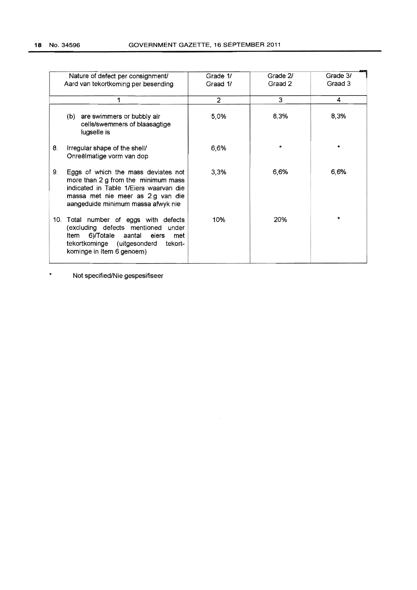|     | Nature of defect per consignment/<br>Aard van tekortkoming per besending                                                                                                                       | Grade 1/<br>Graad 1/ | Grade 2/<br>Graad 2 | Grade 3/<br>Graad 3 |
|-----|------------------------------------------------------------------------------------------------------------------------------------------------------------------------------------------------|----------------------|---------------------|---------------------|
|     |                                                                                                                                                                                                | 2                    | 3                   | 4                   |
|     | (b) are swimmers or bubbly air<br>cells/swemmers of blaasagtige<br>lugselle is                                                                                                                 | 5,0%                 | 8,3%                | 8,3%                |
| 8.  | Irregular shape of the shell/<br>Onreëlmatige vorm van dop                                                                                                                                     | 6,6%                 |                     |                     |
| 9.  | Eggs of which the mass deviates not<br>more than 2 g from the minimum mass<br>indicated in Table 1/Eiers waarvan die<br>massa met nie meer as 2g van die<br>aangeduide minimum massa afwyk nie | 3,3%                 | 6,6%                | 6,6%                |
| 10. | Total number of eggs with defects<br>(excluding defects mentioned under<br>Item 6)/Totale aantal eiers<br>met<br>tekortkominge (uitgesonderd tekort-<br>kominge in Item 6 genoem)              | 10%                  | 20%                 | ÷                   |

 $\mathcal{A}_{\mathcal{A}}$ 

• Not specified/Nie gespesifiseer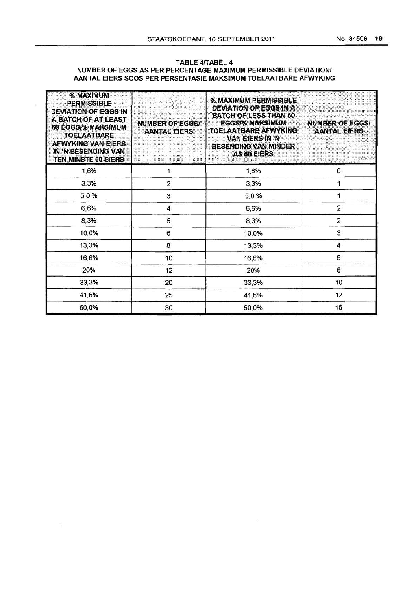### TABLE 4/TABEL 4 NUMBER OF EGGS AS PER PERCENTAGE MAXIMUM PERMISSIBLE DEVIATION/ AANTAL EIERS SOOS PER PERSENTASIE MAKSIMUM TOELAATBARE AFWYKING

| % MAXIMUM<br><b>PERMISSIBLE</b><br><b>DEVIATION OF EGGS IN</b><br>A BATCH OF AT LEAST<br>60 EGGS/% MAKSIMUM<br><b>TOELAATBARE</b><br><b>AFWYKING VAN EIERS</b><br>IN 'N BESENDING VAN<br>TEN MINSTE 60 EIERS | <b>NUMBER OF EGGS/</b><br><b>AANTAL EIERS</b> | % MAXIMUM PERMISSIBLE<br>DEVIATION OF EGGS IN A<br><b>BATCH OF LESS THAN 60</b><br><b>EGGS/% MAKSIMUM</b><br><b>TOELAATBARE AFWYKING</b><br><b>VAN EIERS IN 'N</b><br><b>BESENDING VAN MINDER</b><br><b>AS 60 EIERS</b> | <b>NUMBER OF EGGS/</b><br><b>AANTAL EIERS</b> |
|--------------------------------------------------------------------------------------------------------------------------------------------------------------------------------------------------------------|-----------------------------------------------|-------------------------------------------------------------------------------------------------------------------------------------------------------------------------------------------------------------------------|-----------------------------------------------|
| 1,6%                                                                                                                                                                                                         | 1                                             | 1,6%                                                                                                                                                                                                                    | 0                                             |
| 3,3%                                                                                                                                                                                                         | $\overline{2}$                                | 3,3%                                                                                                                                                                                                                    | 1                                             |
| 5,0%                                                                                                                                                                                                         | 3                                             | 5,0%                                                                                                                                                                                                                    | 1                                             |
| 6,6%                                                                                                                                                                                                         | 4                                             | 6,6%                                                                                                                                                                                                                    | $\overline{\mathbf{c}}$                       |
| 8,3%                                                                                                                                                                                                         | 5                                             | 8,3%                                                                                                                                                                                                                    | $\overline{2}$                                |
| 10,0%                                                                                                                                                                                                        | 6                                             | 10,0%                                                                                                                                                                                                                   | 3                                             |
| 13,3%                                                                                                                                                                                                        | 8                                             | 13,3%                                                                                                                                                                                                                   | 4                                             |
| 16,6%                                                                                                                                                                                                        | 10                                            | 16,6%                                                                                                                                                                                                                   | 5                                             |
| 20%                                                                                                                                                                                                          | 12                                            | 20%                                                                                                                                                                                                                     | 6                                             |
| 33,3%                                                                                                                                                                                                        | 20                                            | 33,3%                                                                                                                                                                                                                   | 10                                            |
| 41,6%                                                                                                                                                                                                        | 25                                            | 41,6%                                                                                                                                                                                                                   | 12                                            |
| 50,0%                                                                                                                                                                                                        | 30                                            | 50,0%                                                                                                                                                                                                                   | 15                                            |